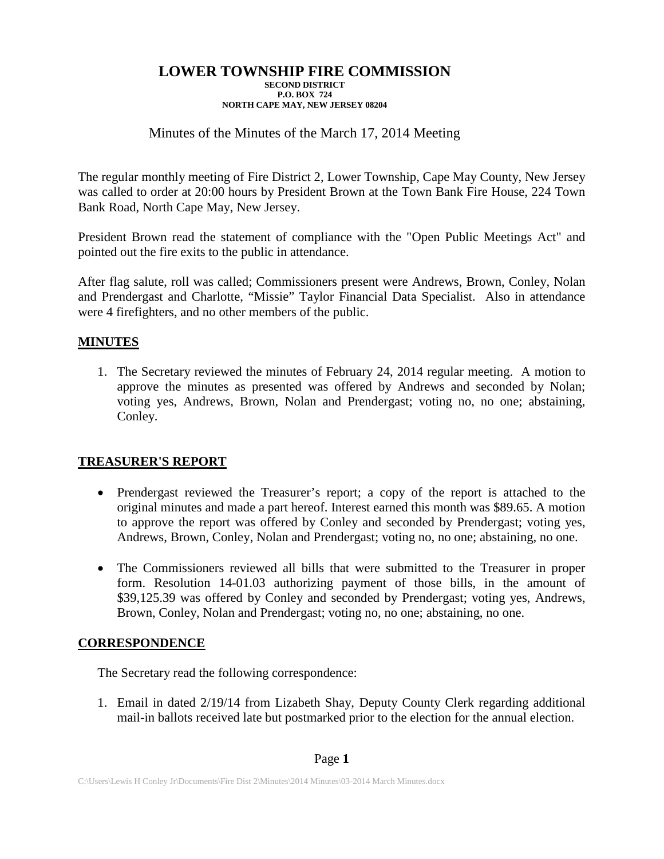# Minutes of the Minutes of the March 17, 2014 Meeting

The regular monthly meeting of Fire District 2, Lower Township, Cape May County, New Jersey was called to order at 20:00 hours by President Brown at the Town Bank Fire House, 224 Town Bank Road, North Cape May, New Jersey.

President Brown read the statement of compliance with the "Open Public Meetings Act" and pointed out the fire exits to the public in attendance.

After flag salute, roll was called; Commissioners present were Andrews, Brown, Conley, Nolan and Prendergast and Charlotte, "Missie" Taylor Financial Data Specialist. Also in attendance were 4 firefighters, and no other members of the public.

# **MINUTES**

1. The Secretary reviewed the minutes of February 24, 2014 regular meeting. A motion to approve the minutes as presented was offered by Andrews and seconded by Nolan; voting yes, Andrews, Brown, Nolan and Prendergast; voting no, no one; abstaining, Conley.

## **TREASURER'S REPORT**

- Prendergast reviewed the Treasurer's report; a copy of the report is attached to the original minutes and made a part hereof. Interest earned this month was \$89.65. A motion to approve the report was offered by Conley and seconded by Prendergast; voting yes, Andrews, Brown, Conley, Nolan and Prendergast; voting no, no one; abstaining, no one.
- The Commissioners reviewed all bills that were submitted to the Treasurer in proper form. Resolution 14-01.03 authorizing payment of those bills, in the amount of \$39,125.39 was offered by Conley and seconded by Prendergast; voting yes, Andrews, Brown, Conley, Nolan and Prendergast; voting no, no one; abstaining, no one.

## **CORRESPONDENCE**

The Secretary read the following correspondence:

1. Email in dated 2/19/14 from Lizabeth Shay, Deputy County Clerk regarding additional mail-in ballots received late but postmarked prior to the election for the annual election.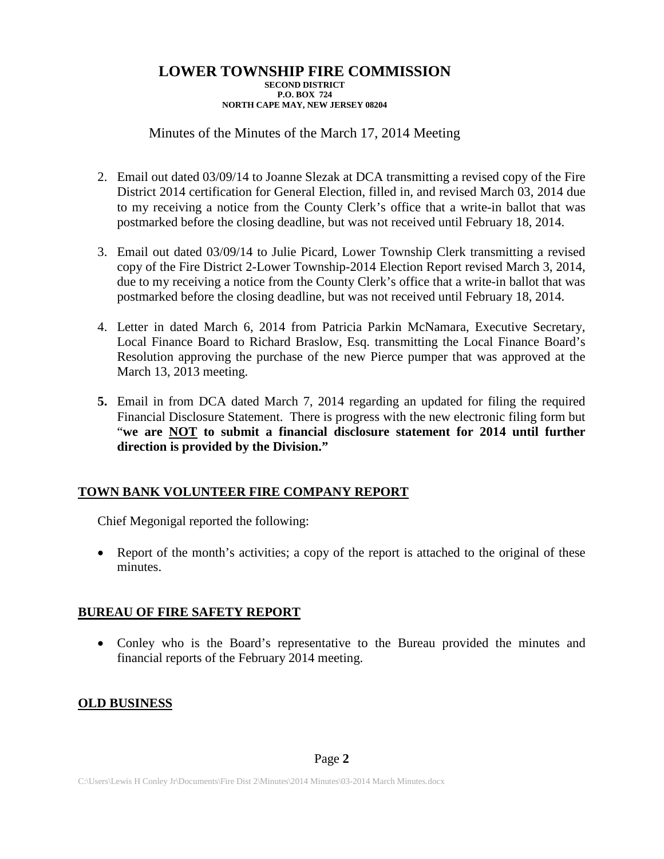# Minutes of the Minutes of the March 17, 2014 Meeting

- 2. Email out dated 03/09/14 to Joanne Slezak at DCA transmitting a revised copy of the Fire District 2014 certification for General Election, filled in, and revised March 03, 2014 due to my receiving a notice from the County Clerk's office that a write-in ballot that was postmarked before the closing deadline, but was not received until February 18, 2014.
- 3. Email out dated 03/09/14 to Julie Picard, Lower Township Clerk transmitting a revised copy of the Fire District 2-Lower Township-2014 Election Report revised March 3, 2014, due to my receiving a notice from the County Clerk's office that a write-in ballot that was postmarked before the closing deadline, but was not received until February 18, 2014.
- 4. Letter in dated March 6, 2014 from Patricia Parkin McNamara, Executive Secretary, Local Finance Board to Richard Braslow, Esq. transmitting the Local Finance Board's Resolution approving the purchase of the new Pierce pumper that was approved at the March 13, 2013 meeting.
- **5.** Email in from DCA dated March 7, 2014 regarding an updated for filing the required Financial Disclosure Statement. There is progress with the new electronic filing form but "**we are NOT to submit a financial disclosure statement for 2014 until further direction is provided by the Division."**

# **TOWN BANK VOLUNTEER FIRE COMPANY REPORT**

Chief Megonigal reported the following:

• Report of the month's activities; a copy of the report is attached to the original of these minutes.

# **BUREAU OF FIRE SAFETY REPORT**

• Conley who is the Board's representative to the Bureau provided the minutes and financial reports of the February 2014 meeting.

# **OLD BUSINESS**

## Page **2**

C:\Users\Lewis H Conley Jr\Documents\Fire Dist 2\Minutes\2014 Minutes\03-2014 March Minutes.docx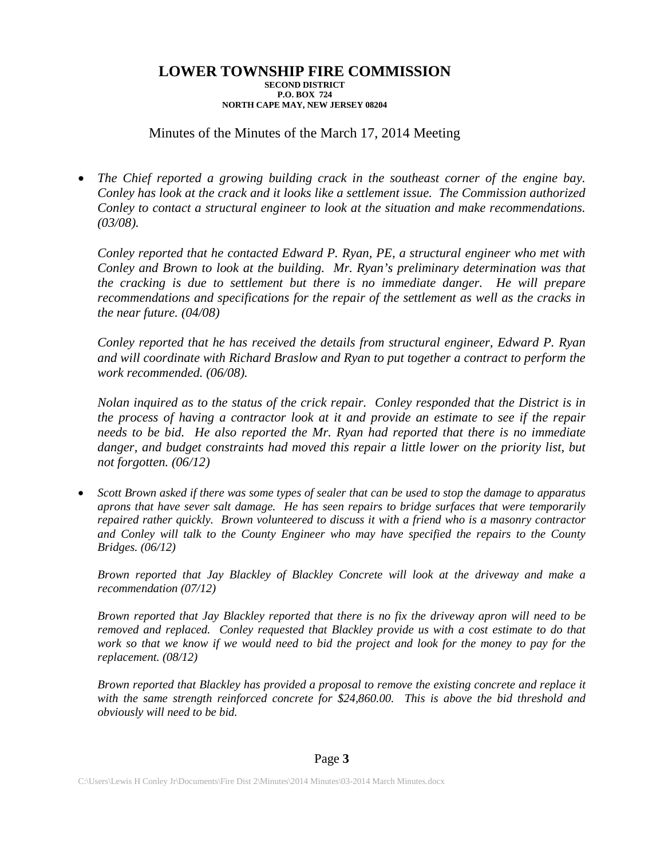## Minutes of the Minutes of the March 17, 2014 Meeting

• *The Chief reported a growing building crack in the southeast corner of the engine bay. Conley has look at the crack and it looks like a settlement issue. The Commission authorized Conley to contact a structural engineer to look at the situation and make recommendations. (03/08).*

*Conley reported that he contacted Edward P. Ryan, PE, a structural engineer who met with Conley and Brown to look at the building. Mr. Ryan's preliminary determination was that the cracking is due to settlement but there is no immediate danger. He will prepare recommendations and specifications for the repair of the settlement as well as the cracks in the near future. (04/08)*

*Conley reported that he has received the details from structural engineer, Edward P. Ryan and will coordinate with Richard Braslow and Ryan to put together a contract to perform the work recommended. (06/08).*

*Nolan inquired as to the status of the crick repair. Conley responded that the District is in the process of having a contractor look at it and provide an estimate to see if the repair needs to be bid. He also reported the Mr. Ryan had reported that there is no immediate*  danger, and budget constraints had moved this repair a little lower on the priority list, but *not forgotten. (06/12)*

• *Scott Brown asked if there was some types of sealer that can be used to stop the damage to apparatus aprons that have sever salt damage. He has seen repairs to bridge surfaces that were temporarily repaired rather quickly. Brown volunteered to discuss it with a friend who is a masonry contractor and Conley will talk to the County Engineer who may have specified the repairs to the County Bridges. (06/12)*

*Brown reported that Jay Blackley of Blackley Concrete will look at the driveway and make a recommendation (07/12)*

*Brown reported that Jay Blackley reported that there is no fix the driveway apron will need to be removed and replaced. Conley requested that Blackley provide us with a cost estimate to do that work so that we know if we would need to bid the project and look for the money to pay for the replacement. (08/12)*

*Brown reported that Blackley has provided a proposal to remove the existing concrete and replace it with the same strength reinforced concrete for \$24,860.00. This is above the bid threshold and obviously will need to be bid.*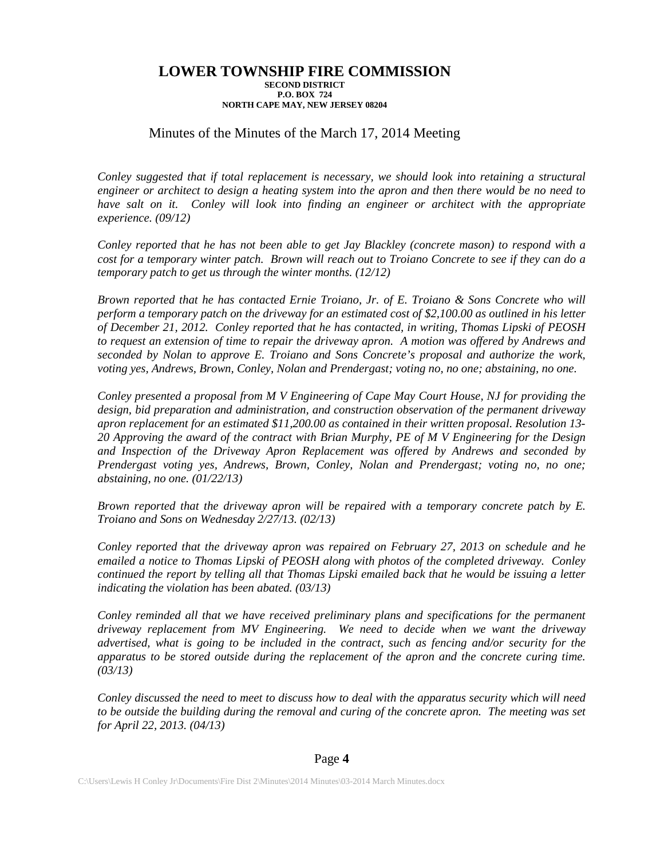## Minutes of the Minutes of the March 17, 2014 Meeting

*Conley suggested that if total replacement is necessary, we should look into retaining a structural engineer or architect to design a heating system into the apron and then there would be no need to have salt on it. Conley will look into finding an engineer or architect with the appropriate experience. (09/12)*

*Conley reported that he has not been able to get Jay Blackley (concrete mason) to respond with a cost for a temporary winter patch. Brown will reach out to Troiano Concrete to see if they can do a temporary patch to get us through the winter months. (12/12)*

*Brown reported that he has contacted Ernie Troiano, Jr. of E. Troiano & Sons Concrete who will perform a temporary patch on the driveway for an estimated cost of \$2,100.00 as outlined in his letter of December 21, 2012. Conley reported that he has contacted, in writing, Thomas Lipski of PEOSH to request an extension of time to repair the driveway apron. A motion was offered by Andrews and seconded by Nolan to approve E. Troiano and Sons Concrete's proposal and authorize the work, voting yes, Andrews, Brown, Conley, Nolan and Prendergast; voting no, no one; abstaining, no one.*

*Conley presented a proposal from M V Engineering of Cape May Court House, NJ for providing the design, bid preparation and administration, and construction observation of the permanent driveway apron replacement for an estimated \$11,200.00 as contained in their written proposal. Resolution 13- 20 Approving the award of the contract with Brian Murphy, PE of M V Engineering for the Design and Inspection of the Driveway Apron Replacement was offered by Andrews and seconded by Prendergast voting yes, Andrews, Brown, Conley, Nolan and Prendergast; voting no, no one; abstaining, no one. (01/22/13)*

*Brown reported that the driveway apron will be repaired with a temporary concrete patch by E. Troiano and Sons on Wednesday 2/27/13. (02/13)*

*Conley reported that the driveway apron was repaired on February 27, 2013 on schedule and he emailed a notice to Thomas Lipski of PEOSH along with photos of the completed driveway. Conley continued the report by telling all that Thomas Lipski emailed back that he would be issuing a letter indicating the violation has been abated. (03/13)*

*Conley reminded all that we have received preliminary plans and specifications for the permanent driveway replacement from MV Engineering. We need to decide when we want the driveway advertised, what is going to be included in the contract, such as fencing and/or security for the apparatus to be stored outside during the replacement of the apron and the concrete curing time. (03/13)*

*Conley discussed the need to meet to discuss how to deal with the apparatus security which will need to be outside the building during the removal and curing of the concrete apron. The meeting was set for April 22, 2013. (04/13)*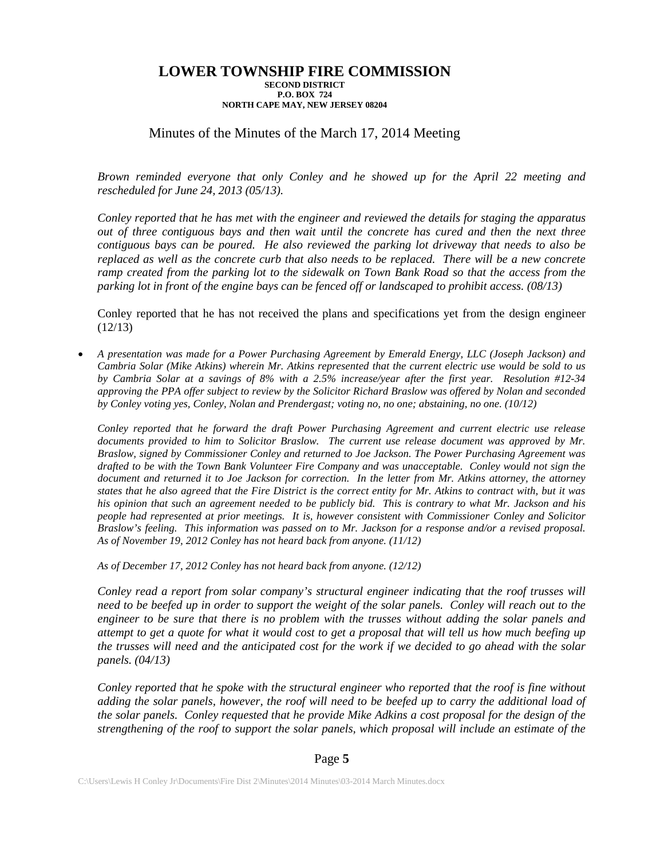## Minutes of the Minutes of the March 17, 2014 Meeting

*Brown reminded everyone that only Conley and he showed up for the April 22 meeting and rescheduled for June 24, 2013 (05/13).*

*Conley reported that he has met with the engineer and reviewed the details for staging the apparatus out of three contiguous bays and then wait until the concrete has cured and then the next three contiguous bays can be poured. He also reviewed the parking lot driveway that needs to also be replaced as well as the concrete curb that also needs to be replaced. There will be a new concrete ramp created from the parking lot to the sidewalk on Town Bank Road so that the access from the parking lot in front of the engine bays can be fenced off or landscaped to prohibit access. (08/13)* 

Conley reported that he has not received the plans and specifications yet from the design engineer  $(12/13)$ 

• *A presentation was made for a Power Purchasing Agreement by Emerald Energy, LLC (Joseph Jackson) and Cambria Solar (Mike Atkins) wherein Mr. Atkins represented that the current electric use would be sold to us by Cambria Solar at a savings of 8% with a 2.5% increase/year after the first year. Resolution #12-34 approving the PPA offer subject to review by the Solicitor Richard Braslow was offered by Nolan and seconded by Conley voting yes, Conley, Nolan and Prendergast; voting no, no one; abstaining, no one. (10/12)*

*Conley reported that he forward the draft Power Purchasing Agreement and current electric use release documents provided to him to Solicitor Braslow. The current use release document was approved by Mr. Braslow, signed by Commissioner Conley and returned to Joe Jackson. The Power Purchasing Agreement was drafted to be with the Town Bank Volunteer Fire Company and was unacceptable. Conley would not sign the*  document and returned it to Joe Jackson for correction. In the letter from Mr. Atkins attorney, the attorney *states that he also agreed that the Fire District is the correct entity for Mr. Atkins to contract with, but it was his opinion that such an agreement needed to be publicly bid. This is contrary to what Mr. Jackson and his people had represented at prior meetings. It is, however consistent with Commissioner Conley and Solicitor Braslow's feeling. This information was passed on to Mr. Jackson for a response and/or a revised proposal. As of November 19, 2012 Conley has not heard back from anyone. (11/12)*

*As of December 17, 2012 Conley has not heard back from anyone. (12/12)*

*Conley read a report from solar company's structural engineer indicating that the roof trusses will need to be beefed up in order to support the weight of the solar panels. Conley will reach out to the engineer to be sure that there is no problem with the trusses without adding the solar panels and attempt to get a quote for what it would cost to get a proposal that will tell us how much beefing up the trusses will need and the anticipated cost for the work if we decided to go ahead with the solar panels. (04/13)*

*Conley reported that he spoke with the structural engineer who reported that the roof is fine without adding the solar panels, however, the roof will need to be beefed up to carry the additional load of the solar panels. Conley requested that he provide Mike Adkins a cost proposal for the design of the strengthening of the roof to support the solar panels, which proposal will include an estimate of the*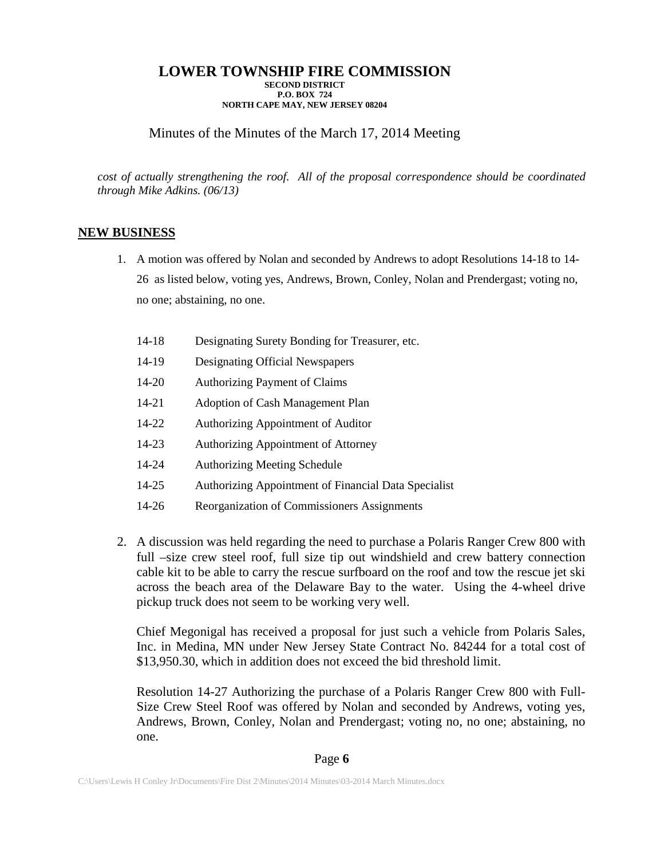# Minutes of the Minutes of the March 17, 2014 Meeting

*cost of actually strengthening the roof. All of the proposal correspondence should be coordinated through Mike Adkins. (06/13)*

### **NEW BUSINESS**

- 1. A motion was offered by Nolan and seconded by Andrews to adopt Resolutions 14-18 to 14- 26 as listed below, voting yes, Andrews, Brown, Conley, Nolan and Prendergast; voting no, no one; abstaining, no one.
	- 14-18 Designating Surety Bonding for Treasurer, etc.
	- 14-19 Designating Official Newspapers
	- 14-20 Authorizing Payment of Claims
	- 14-21 Adoption of Cash Management Plan
	- 14-22 Authorizing Appointment of Auditor
	- 14-23 Authorizing Appointment of Attorney
	- 14-24 Authorizing Meeting Schedule
	- 14-25 Authorizing Appointment of Financial Data Specialist
	- 14-26 Reorganization of Commissioners Assignments
- 2. A discussion was held regarding the need to purchase a Polaris Ranger Crew 800 with full –size crew steel roof, full size tip out windshield and crew battery connection cable kit to be able to carry the rescue surfboard on the roof and tow the rescue jet ski across the beach area of the Delaware Bay to the water. Using the 4-wheel drive pickup truck does not seem to be working very well.

Chief Megonigal has received a proposal for just such a vehicle from Polaris Sales, Inc. in Medina, MN under New Jersey State Contract No. 84244 for a total cost of \$13,950.30, which in addition does not exceed the bid threshold limit.

Resolution 14-27 Authorizing the purchase of a Polaris Ranger Crew 800 with Full-Size Crew Steel Roof was offered by Nolan and seconded by Andrews, voting yes, Andrews, Brown, Conley, Nolan and Prendergast; voting no, no one; abstaining, no one.

### Page **6**